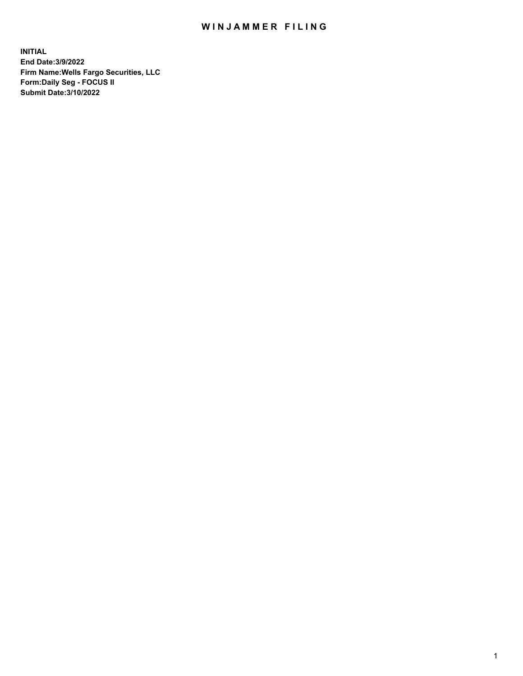## WIN JAMMER FILING

**INITIAL End Date:3/9/2022 Firm Name:Wells Fargo Securities, LLC Form:Daily Seg - FOCUS II Submit Date:3/10/2022**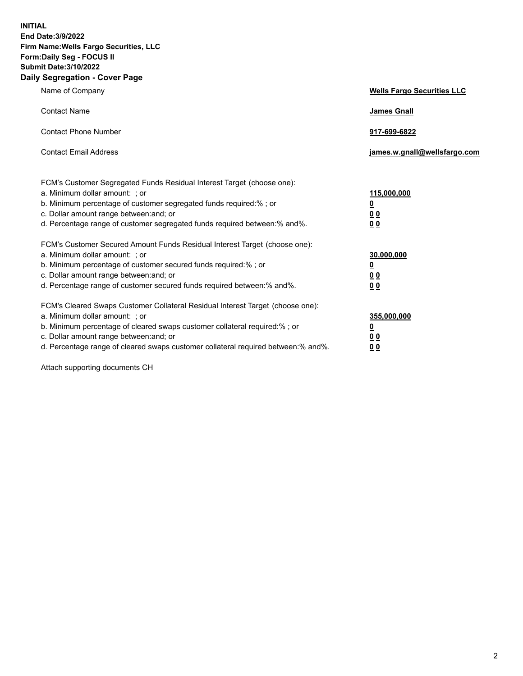**INITIAL End Date:3/9/2022 Firm Name:Wells Fargo Securities, LLC Form:Daily Seg - FOCUS II Submit Date:3/10/2022 Daily Segregation - Cover Page**

| Name of Company                                                                                                                                                                                                                                                                                                                | <b>Wells Fargo Securities LLC</b>                          |
|--------------------------------------------------------------------------------------------------------------------------------------------------------------------------------------------------------------------------------------------------------------------------------------------------------------------------------|------------------------------------------------------------|
| <b>Contact Name</b>                                                                                                                                                                                                                                                                                                            | <b>James Gnall</b>                                         |
| <b>Contact Phone Number</b>                                                                                                                                                                                                                                                                                                    | 917-699-6822                                               |
| <b>Contact Email Address</b>                                                                                                                                                                                                                                                                                                   | james.w.gnall@wellsfargo.com                               |
| FCM's Customer Segregated Funds Residual Interest Target (choose one):<br>a. Minimum dollar amount: ; or<br>b. Minimum percentage of customer segregated funds required:% ; or<br>c. Dollar amount range between: and; or<br>d. Percentage range of customer segregated funds required between:% and%.                         | 115,000,000<br><u>0</u><br>0 <sub>0</sub><br>00            |
| FCM's Customer Secured Amount Funds Residual Interest Target (choose one):<br>a. Minimum dollar amount: ; or<br>b. Minimum percentage of customer secured funds required:%; or<br>c. Dollar amount range between: and; or<br>d. Percentage range of customer secured funds required between:% and%.                            | 30,000,000<br><u>0</u><br>0 <sub>0</sub><br>0 <sub>0</sub> |
| FCM's Cleared Swaps Customer Collateral Residual Interest Target (choose one):<br>a. Minimum dollar amount: ; or<br>b. Minimum percentage of cleared swaps customer collateral required:% ; or<br>c. Dollar amount range between: and; or<br>d. Percentage range of cleared swaps customer collateral required between:% and%. | 355,000,000<br><u>0</u><br>00<br>00                        |

Attach supporting documents CH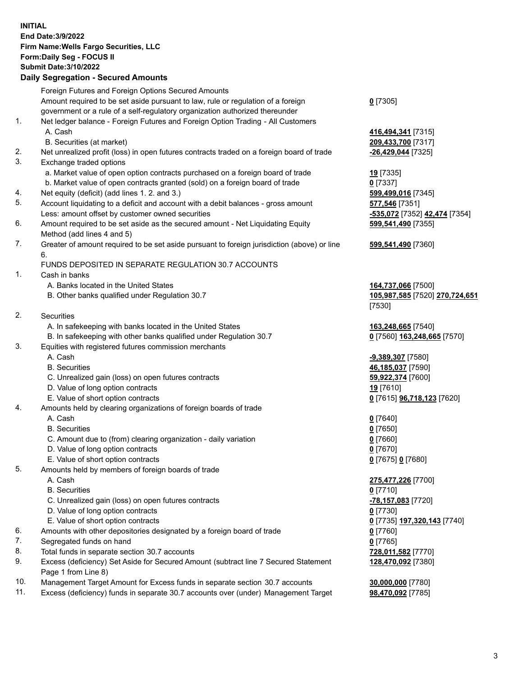**INITIAL End Date:3/9/2022 Firm Name:Wells Fargo Securities, LLC Form:Daily Seg - FOCUS II Submit Date:3/10/2022 Daily Segregation - Secured Amounts**

Foreign Futures and Foreign Options Secured Amounts Amount required to be set aside pursuant to law, rule or regulation of a foreign government or a rule of a self-regulatory organization authorized thereunder **0** [7305] 1. Net ledger balance - Foreign Futures and Foreign Option Trading - All Customers A. Cash **416,494,341** [7315] B. Securities (at market) **209,433,700** [7317] 2. Net unrealized profit (loss) in open futures contracts traded on a foreign board of trade **-26,429,044** [7325] 3. Exchange traded options a. Market value of open option contracts purchased on a foreign board of trade **19** [7335] b. Market value of open contracts granted (sold) on a foreign board of trade **0** [7337] 4. Net equity (deficit) (add lines 1. 2. and 3.) **599,499,016** [7345] 5. Account liquidating to a deficit and account with a debit balances - gross amount **577,546** [7351] Less: amount offset by customer owned securities **-535,072** [7352] **42,474** [7354] 6. Amount required to be set aside as the secured amount - Net Liquidating Equity Method (add lines 4 and 5) **599,541,490** [7355] 7. Greater of amount required to be set aside pursuant to foreign jurisdiction (above) or line 6. **599,541,490** [7360] FUNDS DEPOSITED IN SEPARATE REGULATION 30.7 ACCOUNTS 1. Cash in banks A. Banks located in the United States **164,737,066** [7500] B. Other banks qualified under Regulation 30.7 **105,987,585** [7520] **270,724,651** [7530] 2. Securities A. In safekeeping with banks located in the United States **163,248,665** [7540] B. In safekeeping with other banks qualified under Regulation 30.7 **0** [7560] **163,248,665** [7570] 3. Equities with registered futures commission merchants A. Cash **-9,389,307** [7580] B. Securities **46,185,037** [7590] C. Unrealized gain (loss) on open futures contracts **59,922,374** [7600] D. Value of long option contracts **19** [7610] E. Value of short option contracts **0** [7615] **96,718,123** [7620] 4. Amounts held by clearing organizations of foreign boards of trade A. Cash **0** [7640] B. Securities **0** [7650] C. Amount due to (from) clearing organization - daily variation **0** [7660] D. Value of long option contracts **0** [7670] E. Value of short option contracts **0** [7675] **0** [7680] 5. Amounts held by members of foreign boards of trade A. Cash **275,477,226** [7700] B. Securities **0** [7710] C. Unrealized gain (loss) on open futures contracts **-78,157,083** [7720] D. Value of long option contracts **0** [7730] E. Value of short option contracts **0** [7735] **197,320,143** [7740] 6. Amounts with other depositories designated by a foreign board of trade **0** [7760] 7. Segregated funds on hand **0** [7765] 8. Total funds in separate section 30.7 accounts **728,011,582** [7770] 9. Excess (deficiency) Set Aside for Secured Amount (subtract line 7 Secured Statement Page 1 from Line 8) **128,470,092** [7380] 10. Management Target Amount for Excess funds in separate section 30.7 accounts **30,000,000** [7780]

11. Excess (deficiency) funds in separate 30.7 accounts over (under) Management Target **98,470,092** [7785]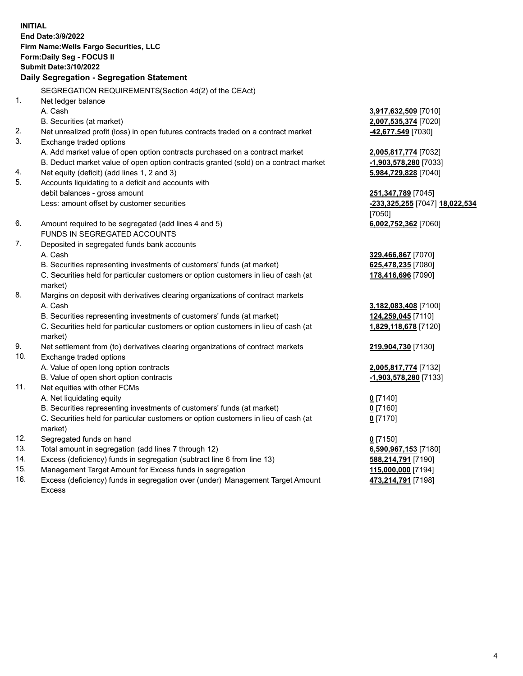**INITIAL End Date:3/9/2022 Firm Name:Wells Fargo Securities, LLC Form:Daily Seg - FOCUS II Submit Date:3/10/2022 Daily Segregation - Segregation Statement** SEGREGATION REQUIREMENTS(Section 4d(2) of the CEAct) 1. Net ledger balance A. Cash **3,917,632,509** [7010] B. Securities (at market) **2,007,535,374** [7020] 2. Net unrealized profit (loss) in open futures contracts traded on a contract market **-42,677,549** [7030] 3. Exchange traded options A. Add market value of open option contracts purchased on a contract market **2,005,817,774** [7032] B. Deduct market value of open option contracts granted (sold) on a contract market **-1,903,578,280** [7033] 4. Net equity (deficit) (add lines 1, 2 and 3) **5,984,729,828** [7040] 5. Accounts liquidating to a deficit and accounts with debit balances - gross amount **251,347,789** [7045] Less: amount offset by customer securities **-233,325,255** [7047] **18,022,534** [7050] 6. Amount required to be segregated (add lines 4 and 5) **6,002,752,362** [7060] FUNDS IN SEGREGATED ACCOUNTS 7. Deposited in segregated funds bank accounts A. Cash **329,466,867** [7070] B. Securities representing investments of customers' funds (at market) **625,478,235** [7080] C. Securities held for particular customers or option customers in lieu of cash (at market) **178,416,696** [7090] 8. Margins on deposit with derivatives clearing organizations of contract markets A. Cash **3,182,083,408** [7100] B. Securities representing investments of customers' funds (at market) **124,259,045** [7110] C. Securities held for particular customers or option customers in lieu of cash (at market) **1,829,118,678** [7120] 9. Net settlement from (to) derivatives clearing organizations of contract markets **219,904,730** [7130] 10. Exchange traded options A. Value of open long option contracts **2,005,817,774** [7132] B. Value of open short option contracts **-1,903,578,280** [7133] 11. Net equities with other FCMs A. Net liquidating equity **0** [7140] B. Securities representing investments of customers' funds (at market) **0** [7160] C. Securities held for particular customers or option customers in lieu of cash (at market) **0** [7170] 12. Segregated funds on hand **0** [7150] 13. Total amount in segregation (add lines 7 through 12) **6,590,967,153** [7180] 14. Excess (deficiency) funds in segregation (subtract line 6 from line 13) **588,214,791** [7190] 15. Management Target Amount for Excess funds in segregation **115,000,000** [7194]

16. Excess (deficiency) funds in segregation over (under) Management Target Amount Excess

**473,214,791** [7198]